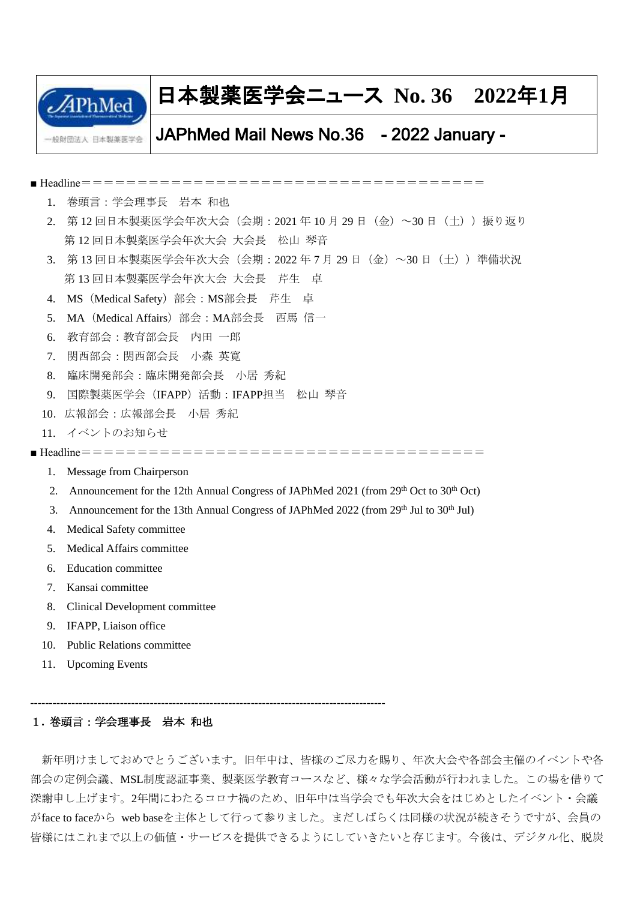

# 日本製薬医学会ニュース **No. 36 2022**年**1**月

# JAPhMed Mail News No.36 - 2022 January -

■ Headline==================================== 1. 巻頭言:学会理事長 岩本 和也 2. 第12回日本製薬医学会年次大会(会期: 2021年10月29日 (金)~30日 (土))振り返り 第 12 回日本製薬医学会年次大会 大会長 松山 琴音 3. 第 13 回日本製薬医学会年次大会(会期:2022 年 7 月 29 日(金)~30 日(土))準備状況 第13 回日本製薬医学会年次大会 大会長 芹生 貞 4. MS(Medical Safety)部会:MS部会長 芹生 卓 5. MA(Medical Affairs)部会:MA部会長 西馬 信一 6. 教育部会:教育部会長 内田 一郎 7. 関西部会:関西部会長 小森 英寛 8. 臨床開発部会:臨床開発部会長 小居 秀紀 9. 国際製薬医学会(IFAPP)活動:IFAPP担当 松山 琴音 10.広報部会:広報部会長 小居 秀紀 11. イベントのお知らせ ■ Headline==================================== 1. Message from Chairperson 2. Announcement for the 12th Annual Congress of JAPhMed 2021 (from  $29<sup>th</sup>$  Oct to  $30<sup>th</sup>$  Oct) 3. Announcement for the 13th Annual Congress of JAPhMed 2022 (from 29<sup>th</sup> Jul to 30<sup>th</sup> Jul) 4. Medical Safety committee 5. Medical Affairs committee 6. Education committee 7. Kansai committee 8. Clinical Development committee 9. IFAPP, Liaison office

- 10. Public Relations committee
- 11. Upcoming Events

-----------------------------------------------------------------------------------------------

## 1**.** 巻頭言:学会理事長 岩本 和也

新年明けましておめでとうございます。旧年中は、皆様のご尽力を賜り、年次大会や各部会主催のイベントや各 部会の定例会議、MSL制度認証事業、製薬医学教育コースなど、様々な学会活動が行われました。この場を借りて 深謝申し上げます。2年間にわたるコロナ禍のため、旧年中は当学会でも年次大会をはじめとしたイベント・会議 がface to faceから web baseを主体として行って参りました。まだしばらくは同様の状況が続きそうですが、会員の 皆様にはこれまで以上の価値・サービスを提供できるようにしていきたいと存じます。今後は、デジタル化、脱炭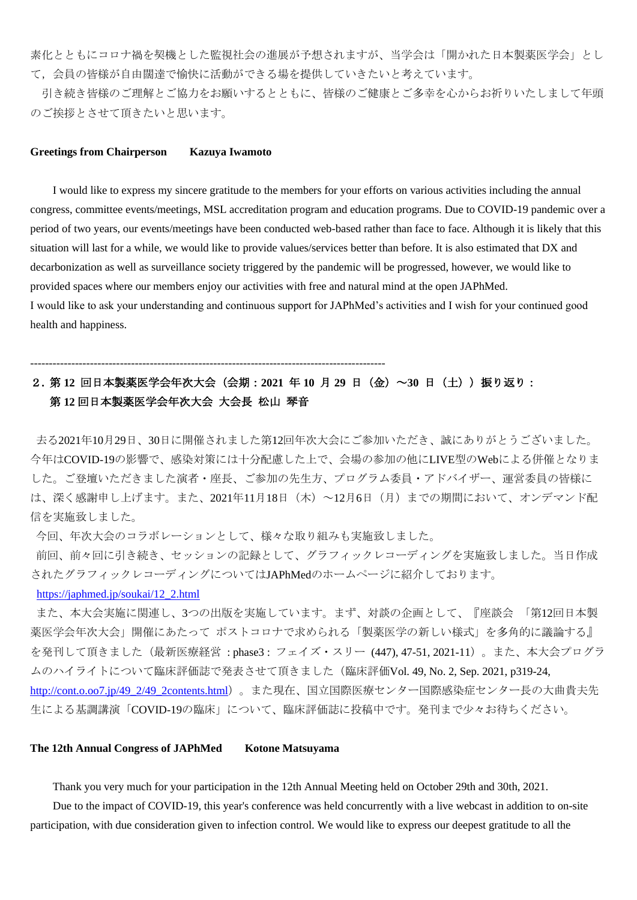素化とともにコロナ禍を契機とした監視社会の進展が予想されますが、当学会は「開かれた日本製薬医学会」とし て,会員の皆様が自由闊達で愉快に活動ができる場を提供していきたいと考えています。

引き続き皆様のご理解とご協力をお願いするとともに、皆様のご健康とご多幸を心からお祈りいたしまして年頭 のご挨拶とさせて頂きたいと思います。

#### **Greetings from Chairperson Kazuya Iwamoto**

I would like to express my sincere gratitude to the members for your efforts on various activities including the annual congress, committee events/meetings, MSL accreditation program and education programs. Due to COVID-19 pandemic over a period of two years, our events/meetings have been conducted web-based rather than face to face. Although it is likely that this situation will last for a while, we would like to provide values/services better than before. It is also estimated that DX and decarbonization as well as surveillance society triggered by the pandemic will be progressed, however, we would like to provided spaces where our members enjoy our activities with free and natural mind at the open JAPhMed. I would like to ask your understanding and continuous support for JAPhMed's activities and I wish for your continued good health and happiness.

## -----------------------------------------------------------------------------------------------

# 2**.** 第 **12** 回日本製薬医学会年次大会(会期:**2021** 年 **10** 月 **29** 日(金)~**30** 日(土))振り返り: 第 **12** 回日本製薬医学会年次大会 大会長 松山 琴音

去る2021年10月29日、30日に開催されました第12回年次大会にご参加いただき、誠にありがとうございました。 今年はCOVID-19の影響で、感染対策には十分配慮した上で、会場の参加の他にLIVE型のWebによる併催となりま した。ご登壇いただきました演者・座長、ご参加の先生方、プログラム委員・アドバイザー、運営委員の皆様に は、深く感謝申し上げます。また、2021年11月18日(木)~12月6日(月)までの期間において、オンデマンド配 信を実施致しました。

今回、年次大会のコラボレーションとして、様々な取り組みも実施致しました。

前回、前々回に引き続き、セッションの記録として、グラフィックレコーディングを実施致しました。当日作成 されたグラフィックレコーディングについてはJAPhMedのホームページに紹介しております。

#### [https://japhmed.jp/soukai/12\\_2.html](https://japhmed.jp/soukai/12_2.html)

また、本大会実施に関連し、3つの出版を実施しています。まず、対談の企画として、『座談会 「第12回日本製 薬医学会年次大会」開催にあたって ポストコロナで求められる「製薬医学の新しい様式」を多角的に議論する』 を発刊して頂きました(最新医療経営 : phase3 : フェイズ・スリー (447), 47-51, 2021-11)。また、本大会プログラ ムのハイライトについて臨床評価誌で発表させて頂きました(臨床評価Vol. 49, No. 2, Sep. 2021, p319-24, [http://cont.o.oo7.jp/49\\_2/49\\_2contents.html](http://cont.o.oo7.jp/49_2/49_2contents.html))。また現在、国立国際医療センター国際感染症センター長の大曲貴夫先 生による基調講演「COVID-19の臨床」について、臨床評価誌に投稿中です。発刊まで少々お待ちください。

## **The 12th Annual Congress of JAPhMed Kotone Matsuyama**

Thank you very much for your participation in the 12th Annual Meeting held on October 29th and 30th, 2021.

Due to the impact of COVID-19, this year's conference was held concurrently with a live webcast in addition to on-site participation, with due consideration given to infection control. We would like to express our deepest gratitude to all the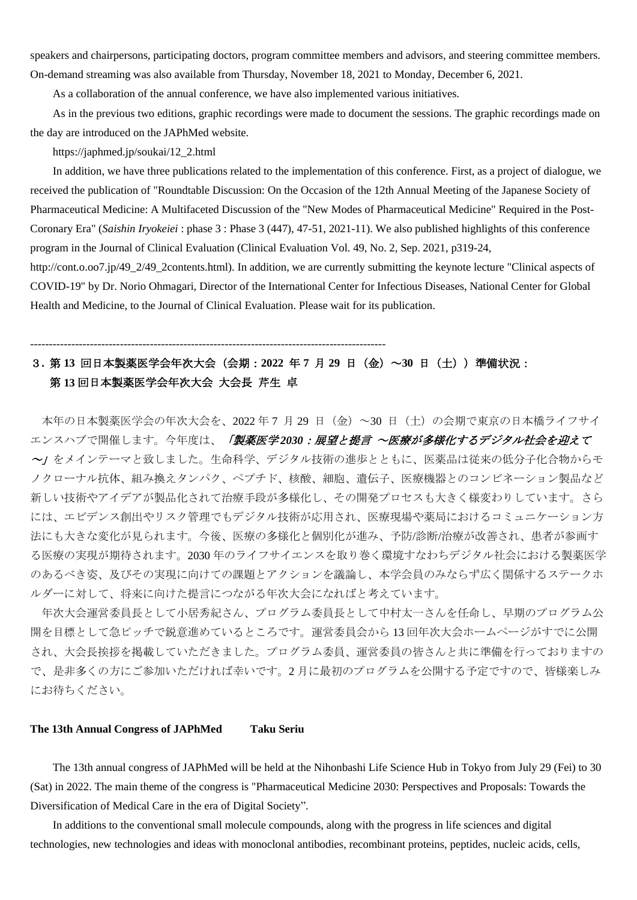speakers and chairpersons, participating doctors, program committee members and advisors, and steering committee members. On-demand streaming was also available from Thursday, November 18, 2021 to Monday, December 6, 2021.

As a collaboration of the annual conference, we have also implemented various initiatives.

As in the previous two editions, graphic recordings were made to document the sessions. The graphic recordings made on the day are introduced on the JAPhMed website.

https://japhmed.jp/soukai/12\_2.html

In addition, we have three publications related to the implementation of this conference. First, as a project of dialogue, we received the publication of "Roundtable Discussion: On the Occasion of the 12th Annual Meeting of the Japanese Society of Pharmaceutical Medicine: A Multifaceted Discussion of the "New Modes of Pharmaceutical Medicine" Required in the Post-Coronary Era" (*Saishin Iryokeiei* : phase 3 : Phase 3 (447), 47-51, 2021-11). We also published highlights of this conference program in the Journal of Clinical Evaluation (Clinical Evaluation Vol. 49, No. 2, Sep. 2021, p319-24,

http://cont.o.oo7.jp/49\_2/49\_2contents.html). In addition, we are currently submitting the keynote lecture "Clinical aspects of COVID-19" by Dr. Norio Ohmagari, Director of the International Center for Infectious Diseases, National Center for Global Health and Medicine, to the Journal of Clinical Evaluation. Please wait for its publication.

# 3**.** 第 **13** 回日本製薬医学会年次大会(会期:**2022** 年 **7** 月 **29** 日(金)~**30** 日(土))準備状況: 第 **13** 回日本製薬医学会年次大会 大会長 芹生 卓

-----------------------------------------------------------------------------------------------

本年の日本製薬医学会の年次大会を、2022 年 7 月 29 日(金)~30 日(土)の会期で東京の日本橋ライフサイ エンスハブで開催します。今年度は、「製薬医学2030:展望と提言 ~医療が多様化するデジタル社会を迎えて ~」をメインテーマと致しました。生命科学、デジタル技術の進歩とともに、医薬品は従来の低分子化合物からモ ノクローナル抗体、組み換えタンパク、ペプチド、核酸、細胞、遺伝子、医療機器とのコンビネーション製品など 新しい技術やアイデアが製品化されて治療手段が多様化し、その開発プロセスも大きく様変わりしています。さら には、エビデンス創出やリスク管理でもデジタル技術が応用され、医療現場や薬局におけるコミュニケーション方 法にも大きな変化が見られます。今後、医療の多様化と個別化が進み、予防/診断/治療が改善され、患者が参画す る医療の実現が期待されます。2030 年のライフサイエンスを取り巻く環境すなわちデジタル社会における製薬医学 のあるべき姿、及びその実現に向けての課題とアクションを議論し、本学会員のみならず広く関係するステークホ ルダーに対して、将来に向けた提言につながる年次大会になればと考えています。

年次大会運営委員長として小居秀紀さん、プログラム委員長として中村太一さんを任命し、早期のプログラム公 開を目標として急ピッチで鋭意進めているところです。運営委員会から 13 回年次大会ホームページがすでに公開 され、大会長挨拶を掲載していただきました。プログラム委員、運営委員の皆さんと共に準備を行っておりますの で、是非多くの方にご参加いただければ幸いです。2 月に最初のプログラムを公開する予定ですので、皆様楽しみ にお待ちください。

## **The 13th Annual Congress of JAPhMed Taku Seriu**

The 13th annual congress of JAPhMed will be held at the Nihonbashi Life Science Hub in Tokyo from July 29 (Fei) to 30 (Sat) in 2022. The main theme of the congress is "Pharmaceutical Medicine 2030: Perspectives and Proposals: Towards the Diversification of Medical Care in the era of Digital Society".

In additions to the conventional small molecule compounds, along with the progress in life sciences and digital technologies, new technologies and ideas with monoclonal antibodies, recombinant proteins, peptides, nucleic acids, cells,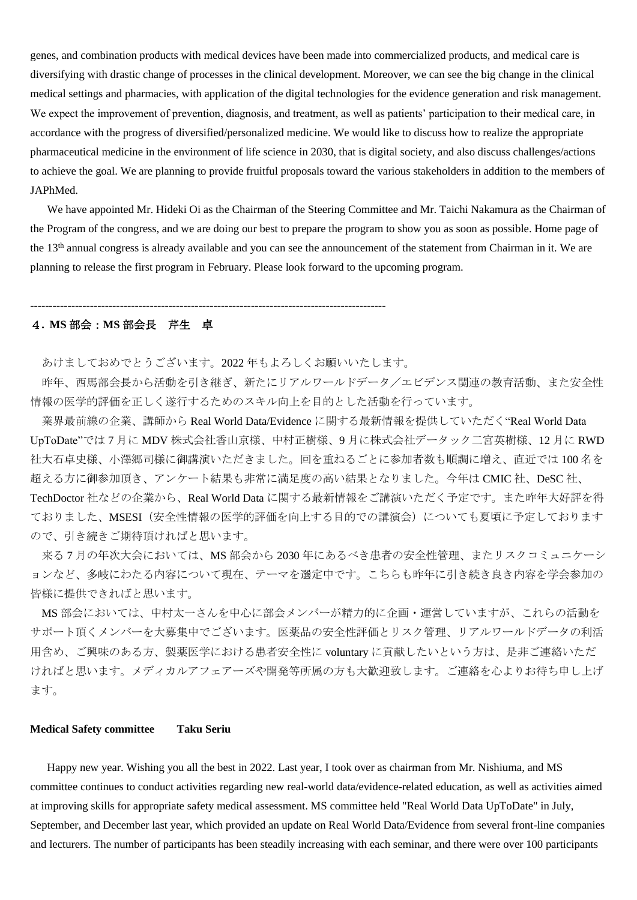genes, and combination products with medical devices have been made into commercialized products, and medical care is diversifying with drastic change of processes in the clinical development. Moreover, we can see the big change in the clinical medical settings and pharmacies, with application of the digital technologies for the evidence generation and risk management. We expect the improvement of prevention, diagnosis, and treatment, as well as patients' participation to their medical care, in accordance with the progress of diversified/personalized medicine. We would like to discuss how to realize the appropriate pharmaceutical medicine in the environment of life science in 2030, that is digital society, and also discuss challenges/actions to achieve the goal. We are planning to provide fruitful proposals toward the various stakeholders in addition to the members of JAPhMed.

 We have appointed Mr. Hideki Oi as the Chairman of the Steering Committee and Mr. Taichi Nakamura as the Chairman of the Program of the congress, and we are doing our best to prepare the program to show you as soon as possible. Home page of the 13<sup>th</sup> annual congress is already available and you can see the announcement of the statement from Chairman in it. We are planning to release the first program in February. Please look forward to the upcoming program.

-----------------------------------------------------------------------------------------------

## 4**. MS** 部会:**MS** 部会長 芹生 卓

あけましておめでとうございます。2022 年もよろしくお願いいたします。

昨年、西馬部会長から活動を引き継ぎ、新たにリアルワールドデータ/エビデンス関連の教育活動、また安全性 情報の医学的評価を正しく遂行するためのスキル向上を目的とした活動を行っています。

業界最前線の企業、講師から Real World Data/Evidence に関する最新情報を提供していただく"Real World Data UpToDate"では 7 月に MDV 株式会社香山京様、中村正樹様、9 月に株式会社データック二宮英樹様、12 月に RWD 社大石卓史様、小澤郷司様に御講演いただきました。回を重ねるごとに参加者数も順調に増え、直近では 100 名を 超える方に御参加頂き、アンケート結果も非常に満足度の高い結果となりました。今年は CMIC 社、DeSC 社、 TechDoctor 社などの企業から、Real World Data に関する最新情報をご講演いただく予定です。また昨年大好評を得 ておりました、MSESI(安全性情報の医学的評価を向上する目的での講演会)についても夏頃に予定しております ので、引き続きご期待頂ければと思います。

来る 7 月の年次大会においては、MS 部会から 2030 年にあるべき患者の安全性管理、またリスクコミュニケーシ ョンなど、多岐にわたる内容について現在、テーマを選定中です。こちらも昨年に引き続き良き内容を学会参加の 皆様に提供できればと思います。

MS 部会においては、中村太一さんを中心に部会メンバーが精力的に企画・運営していますが、これらの活動を サポート頂くメンバーを大募集中でございます。医薬品の安全性評価とリスク管理、リアルワールドデータの利活 用含め、ご興味のある方、製薬医学における患者安全性に voluntary に貢献したいという方は、是非ご連絡いただ ければと思います。メディカルアフェアーズや開発等所属の方も大歓迎致します。ご連絡を心よりお待ち申し上げ ます。

#### **Medical Safety committee Taku Seriu**

Happy new year. Wishing you all the best in 2022. Last year, I took over as chairman from Mr. Nishiuma, and MS committee continues to conduct activities regarding new real-world data/evidence-related education, as well as activities aimed at improving skills for appropriate safety medical assessment. MS committee held "Real World Data UpToDate" in July, September, and December last year, which provided an update on Real World Data/Evidence from several front-line companies and lecturers. The number of participants has been steadily increasing with each seminar, and there were over 100 participants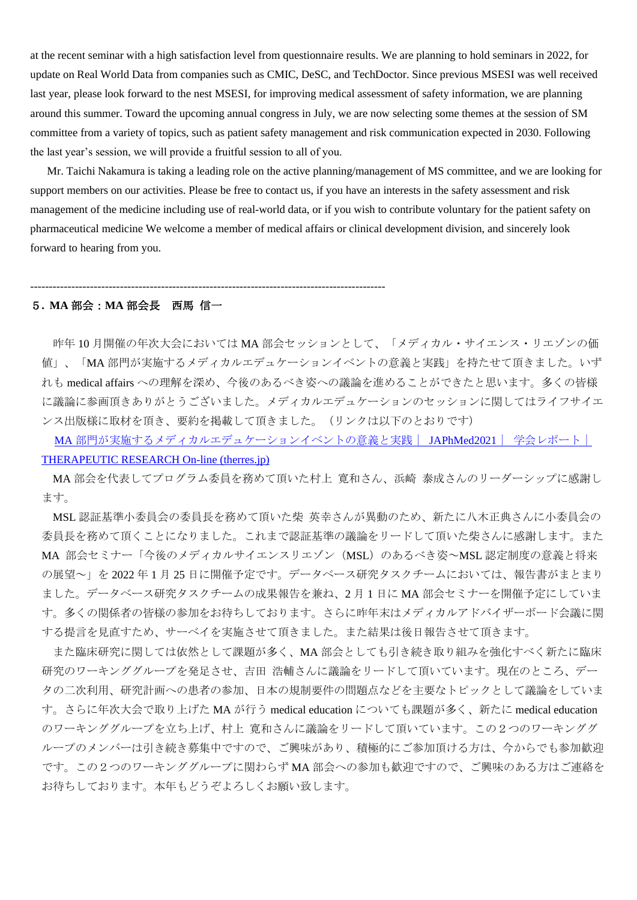at the recent seminar with a high satisfaction level from questionnaire results. We are planning to hold seminars in 2022, for update on Real World Data from companies such as CMIC, DeSC, and TechDoctor. Since previous MSESI was well received last year, please look forward to the nest MSESI, for improving medical assessment of safety information, we are planning around this summer. Toward the upcoming annual congress in July, we are now selecting some themes at the session of SM committee from a variety of topics, such as patient safety management and risk communication expected in 2030. Following the last year's session, we will provide a fruitful session to all of you.

Mr. Taichi Nakamura is taking a leading role on the active planning/management of MS committee, and we are looking for support members on our activities. Please be free to contact us, if you have an interests in the safety assessment and risk management of the medicine including use of real-world data, or if you wish to contribute voluntary for the patient safety on pharmaceutical medicine We welcome a member of medical affairs or clinical development division, and sincerely look forward to hearing from you.

#### 5**. MA** 部会:**MA** 部会長 西馬 信一

-----------------------------------------------------------------------------------------------

昨年 10 月開催の年次大会においては MA 部会セッションとして、「メディカル・サイエンス・リエゾンの価 値」、「MA 部門が実施するメディカルエデュケーションイベントの意義と実践」を持たせて頂きました。いず れも medical affairs への理解を深め、今後のあるべき姿への議論を進めることができたと思います。多くの皆様 に議論に参画頂きありがとうございました。メディカルエデュケーションのセッションに関してはライフサイエ ンス出版様に取材を頂き、要約を掲載して頂きました。(リンクは以下のとおりです)

MA [部門が実施するメディカルエデュケーションイベントの意義と実践|](http://therres.jp/1conferences/2021/JAPhMed2021/20211206142232.php) JAPhMed2021| [学会レポート|](http://therres.jp/1conferences/2021/JAPhMed2021/20211206142232.php) [THERAPEUTIC RESEARCH On-line \(therres.jp\)](http://therres.jp/1conferences/2021/JAPhMed2021/20211206142232.php)

MA 部会を代表してプログラム委員を務めて頂いた村上 寛和さん、浜崎 泰成さんのリーダーシップに感謝し ます。

MSL 認証基準小委員会の委員長を務めて頂いた柴 英幸さんが異動のため、新たに八木正典さんに小委員会の 委員長を務めて頂くことになりました。これまで認証基準の議論をリードして頂いた柴さんに感謝します。また MA 部会セミナー「今後のメディカルサイエンスリエゾン (MSL) のあるべき姿~MSL 認定制度の意義と将来 の展望~」を 2022 年 1 月 25 日に開催予定です。データベース研究タスクチームにおいては、報告書がまとまり ました。データベース研究タスクチームの成果報告を兼ね、2 月 1 日に MA 部会セミナーを開催予定にしていま す。多くの関係者の皆様の参加をお待ちしております。さらに昨年末はメディカルアドバイザーボード会議に関 する提言を見直すため、サーベイを実施させて頂きました。また結果は後日報告させて頂きます。

また臨床研究に関しては依然として課題が多く、MA 部会としても引き続き取り組みを強化すべく新たに臨床 研究のワーキンググループを発足させ、吉田 浩輔さんに議論をリードして頂いています。現在のところ、デー タの二次利用、研究計画への患者の参加、日本の規制要件の問題点などを主要なトピックとして議論をしていま す。さらに年次大会で取り上げた MA が行う medical education についても課題が多く、新たに medical education のワーキンググループを立ち上げ、村上 寛和さんに議論をリードして頂いています。この2つのワーキンググ ループのメンバーは引き続き募集中ですので、ご興味があり、積極的にご参加頂ける方は、今からでも参加歓迎 です。この2つのワーキンググループに関わらず MA 部会への参加も歓迎ですので、ご興味のある方はご連絡を お待ちしております。本年もどうぞよろしくお願い致します。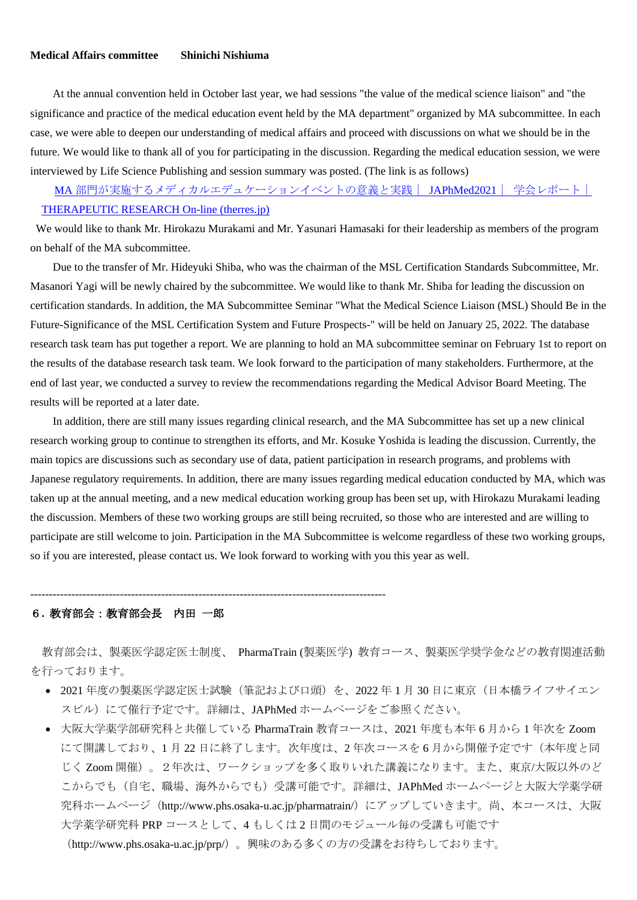## **Medical Affairs committee Shinichi Nishiuma**

At the annual convention held in October last year, we had sessions "the value of the medical science liaison" and "the significance and practice of the medical education event held by the MA department" organized by MA subcommittee. In each case, we were able to deepen our understanding of medical affairs and proceed with discussions on what we should be in the future. We would like to thank all of you for participating in the discussion. Regarding the medical education session, we were interviewed by Life Science Publishing and session summary was posted. (The link is as follows)

MA [部門が実施するメディカルエデュケーションイベントの意義と実践|](http://therres.jp/1conferences/2021/JAPhMed2021/20211206142232.php) JAPhMed2021| [学会レポート|](http://therres.jp/1conferences/2021/JAPhMed2021/20211206142232.php) [THERAPEUTIC RESEARCH On-line \(therres.jp\)](http://therres.jp/1conferences/2021/JAPhMed2021/20211206142232.php)

We would like to thank Mr. Hirokazu Murakami and Mr. Yasunari Hamasaki for their leadership as members of the program on behalf of the MA subcommittee.

Due to the transfer of Mr. Hideyuki Shiba, who was the chairman of the MSL Certification Standards Subcommittee, Mr. Masanori Yagi will be newly chaired by the subcommittee. We would like to thank Mr. Shiba for leading the discussion on certification standards. In addition, the MA Subcommittee Seminar "What the Medical Science Liaison (MSL) Should Be in the Future-Significance of the MSL Certification System and Future Prospects-" will be held on January 25, 2022. The database research task team has put together a report. We are planning to hold an MA subcommittee seminar on February 1st to report on the results of the database research task team. We look forward to the participation of many stakeholders. Furthermore, at the end of last year, we conducted a survey to review the recommendations regarding the Medical Advisor Board Meeting. The results will be reported at a later date.

In addition, there are still many issues regarding clinical research, and the MA Subcommittee has set up a new clinical research working group to continue to strengthen its efforts, and Mr. Kosuke Yoshida is leading the discussion. Currently, the main topics are discussions such as secondary use of data, patient participation in research programs, and problems with Japanese regulatory requirements. In addition, there are many issues regarding medical education conducted by MA, which was taken up at the annual meeting, and a new medical education working group has been set up, with Hirokazu Murakami leading the discussion. Members of these two working groups are still being recruited, so those who are interested and are willing to participate are still welcome to join. Participation in the MA Subcommittee is welcome regardless of these two working groups, so if you are interested, please contact us. We look forward to working with you this year as well.

-----------------------------------------------------------------------------------------------

## 6**.** 教育部会:教育部会長 内田 一郎

教育部会は、製薬医学認定医士制度、 PharmaTrain (製薬医学) 教育コース、製薬医学奨学金などの教育関連活動 を行っております。

- 2021 年度の製薬医学認定医士試験(筆記および口頭)を、2022 年 1 月 30 日に東京(日本橋ライフサイエン スビル)にて催行予定です。詳細は、JAPhMed ホームページをご参照ください。
- 大阪大学薬学部研究科と共催している PharmaTrain 教育コースは、2021 年度も本年 6 月から 1 年次を Zoom にて開講しており、1 月 22 日に終了します。次年度は、2 年次コースを 6 月から開催予定です(本年度と同 じく Zoom 開催)。2年次は、ワークショップを多く取りいれた講義になります。また、東京/大阪以外のど こからでも(自宅、職場、海外からでも)受講可能です。詳細は、JAPhMed ホームページと大阪大学薬学研 究科ホームページ(http://www.phs.osaka-u.ac.jp/pharmatrain/)にアップしていきます。尚、本コースは、大阪 大学薬学研究科 PRP コースとして、4 もしくは 2 日間のモジュール毎の受講も可能です

([http://www.phs.osaka-u.ac.jp/prp/](http://www.phs.osaka-u.ac.jp/prp/）。)[\)。興](http://www.phs.osaka-u.ac.jp/prp/）。)味のある多くの方の受講をお待ちしております。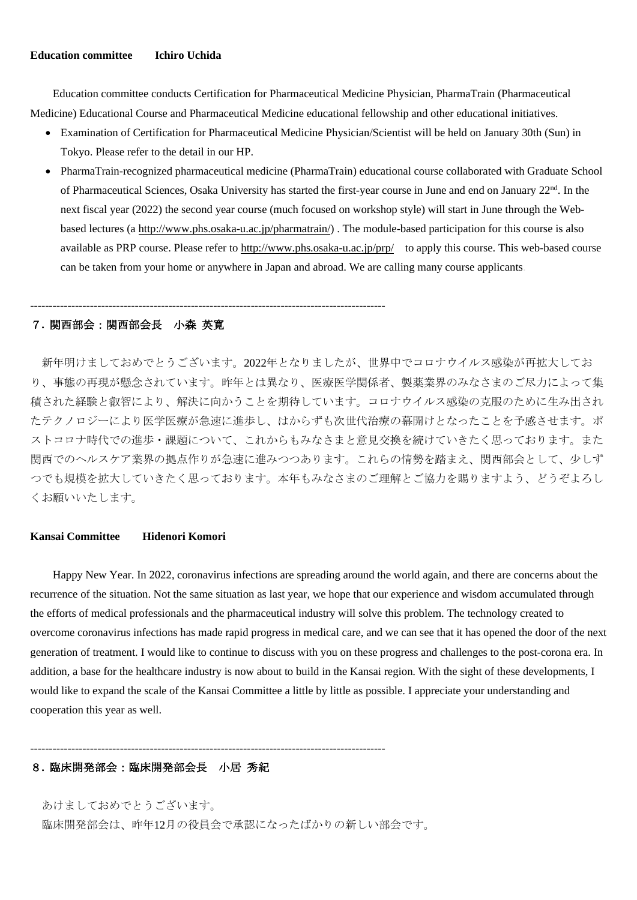## **Education committee Ichiro Uchida**

Education committee conducts Certification for Pharmaceutical Medicine Physician, PharmaTrain (Pharmaceutical Medicine) Educational Course and Pharmaceutical Medicine educational fellowship and other educational initiatives.

- Examination of Certification for Pharmaceutical Medicine Physician/Scientist will be held on January 30th (Sun) in Tokyo. Please refer to the detail in our HP.
- PharmaTrain-recognized pharmaceutical medicine (PharmaTrain) educational course collaborated with Graduate School of Pharmaceutical Sciences, Osaka University has started the first-year course in June and end on January 22<sup>nd</sup>. In the next fiscal year (2022) the second year course (much focused on workshop style) will start in June through the Webbased lectures (a [http://www.phs.osaka-u.ac.jp/pharmatrain/\)](http://www.phs.osaka-u.ac.jp/pharmatrain/) . The module-based participation for this course is also available as PRP course. Please refer to<http://www.phs.osaka-u.ac.jp/prp/>to apply this course. This web-based course can be taken from your home or anywhere in Japan and abroad. We are calling many course applicants.

## 7**.** 関西部会:関西部会長 小森 英寛

-----------------------------------------------------------------------------------------------

新年明けましておめでとうございます。2022年となりましたが、世界中でコロナウイルス感染が再拡大してお り、事態の再現が懸念されています。昨年とは異なり、医療医学関係者、製薬業界のみなさまのご尽力によって集 積された経験と叡智により、解決に向かうことを期待しています。コロナウイルス感染の克服のために生み出され たテクノロジーにより医学医療が急速に進歩し、はからずも次世代治療の幕開けとなったことを予感させます。ポ ストコロナ時代での進歩・課題について、これからもみなさまと意見交換を続けていきたく思っております。また 関西でのヘルスケア業界の拠点作りが急速に進みつつあります。これらの情勢を踏まえ、関西部会として、少しず つでも規模を拡大していきたく思っております。本年もみなさまのご理解とご協力を賜りますよう、どうぞよろし くお願いいたします。

#### **Kansai Committee Hidenori Komori**

Happy New Year. In 2022, coronavirus infections are spreading around the world again, and there are concerns about the recurrence of the situation. Not the same situation as last year, we hope that our experience and wisdom accumulated through the efforts of medical professionals and the pharmaceutical industry will solve this problem. The technology created to overcome coronavirus infections has made rapid progress in medical care, and we can see that it has opened the door of the next generation of treatment. I would like to continue to discuss with you on these progress and challenges to the post-corona era. In addition, a base for the healthcare industry is now about to build in the Kansai region. With the sight of these developments, I would like to expand the scale of the Kansai Committee a little by little as possible. I appreciate your understanding and cooperation this year as well.

## 8**.** 臨床開発部会:臨床開発部会長 小居 秀紀

あけましておめでとうございます。 臨床開発部会は、昨年12月の役員会で承認になったばかりの新しい部会です。

-----------------------------------------------------------------------------------------------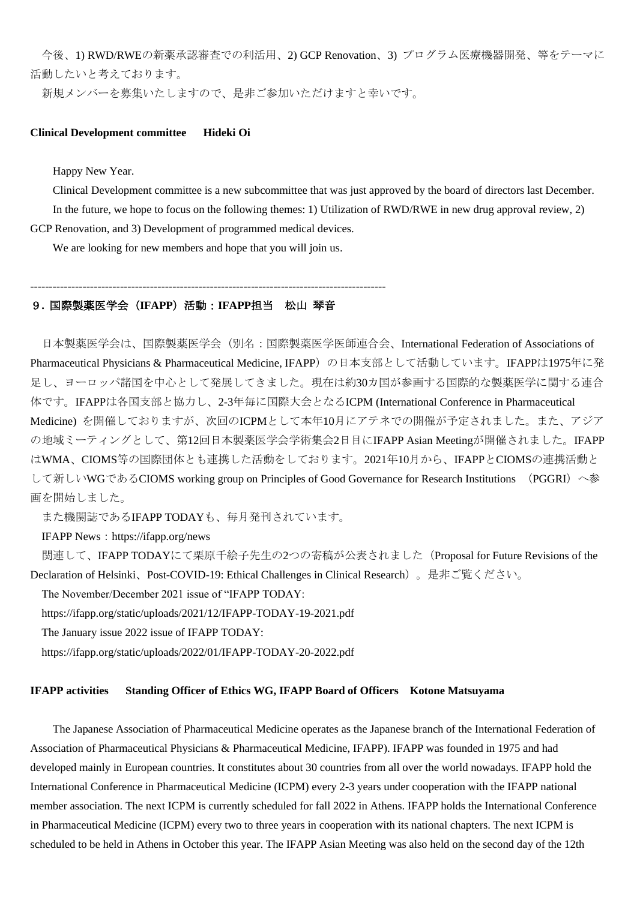今後、1) RWD/RWEの新薬承認審査での利活用、2) GCP Renovation、3) プログラム医療機器開発、等をテーマに 活動したいと考えております。

新規メンバーを募集いたしますので、是非ご参加いただけますと幸いです。

#### **Clinical Development committee Hideki Oi**

Happy New Year.

Clinical Development committee is a new subcommittee that was just approved by the board of directors last December. In the future, we hope to focus on the following themes: 1) Utilization of RWD/RWE in new drug approval review, 2) GCP Renovation, and 3) Development of programmed medical devices.

We are looking for new members and hope that you will join us.

-----------------------------------------------------------------------------------------------

## 9**.** 国際製薬医学会(**IFAPP**)活動:**IFAPP**担当 松山 琴音

日本製薬医学会は、国際製薬医学会(別名:国際製薬医学医師連合会、International Federation of Associations of Pharmaceutical Physicians & Pharmaceutical Medicine, IFAPP)の日本支部として活動しています。IFAPPは1975年に発 足し、ヨーロッパ諸国を中心として発展してきました。現在は約30カ国が参画する国際的な製薬医学に関する連合 体です。IFAPPは各国支部と協力し、2-3年毎に国際大会となるICPM (International Conference in Pharmaceutical Medicine) を開催しておりますが、次回のICPMとして本年10月にアテネでの開催が予定されました。また、アジア の地域ミーティングとして、第12回日本製薬医学会学術集会2日目にIFAPP Asian Meetingが開催されました。IFAPP はWMA、CIOMS等の国際団体とも連携した活動をしております。2021年10月から、IFAPPとCIOMSの連携活動と して新しいWGであるCIOMS working group on Principles of Good Governance for Research Institutions (PGGRI)へ参 画を開始しました。

また機関誌であるIFAPP TODAYも、毎月発刊されています。

IFAPP News: https://ifapp.org/news

関連して、IFAPP TODAYにて栗原千絵子先生の2つの寄稿が公表されました(Proposal for Future Revisions of the Declaration of Helsinki、Post-COVID-19: Ethical Challenges in Clinical Research)。是非ご覧ください。

The November/December 2021 issue of "IFAPP TODAY:

https://ifapp.org/static/uploads/2021/12/IFAPP-TODAY-19-2021.pdf

The January issue 2022 issue of IFAPP TODAY:

https://ifapp.org/static/uploads/2022/01/IFAPP-TODAY-20-2022.pdf

#### **IFAPP activities Standing Officer of Ethics WG, IFAPP Board of Officers Kotone Matsuyama**

The Japanese Association of Pharmaceutical Medicine operates as the Japanese branch of the International Federation of Association of Pharmaceutical Physicians & Pharmaceutical Medicine, IFAPP). IFAPP was founded in 1975 and had developed mainly in European countries. It constitutes about 30 countries from all over the world nowadays. IFAPP hold the International Conference in Pharmaceutical Medicine (ICPM) every 2-3 years under cooperation with the IFAPP national member association. The next ICPM is currently scheduled for fall 2022 in Athens. IFAPP holds the International Conference in Pharmaceutical Medicine (ICPM) every two to three years in cooperation with its national chapters. The next ICPM is scheduled to be held in Athens in October this year. The IFAPP Asian Meeting was also held on the second day of the 12th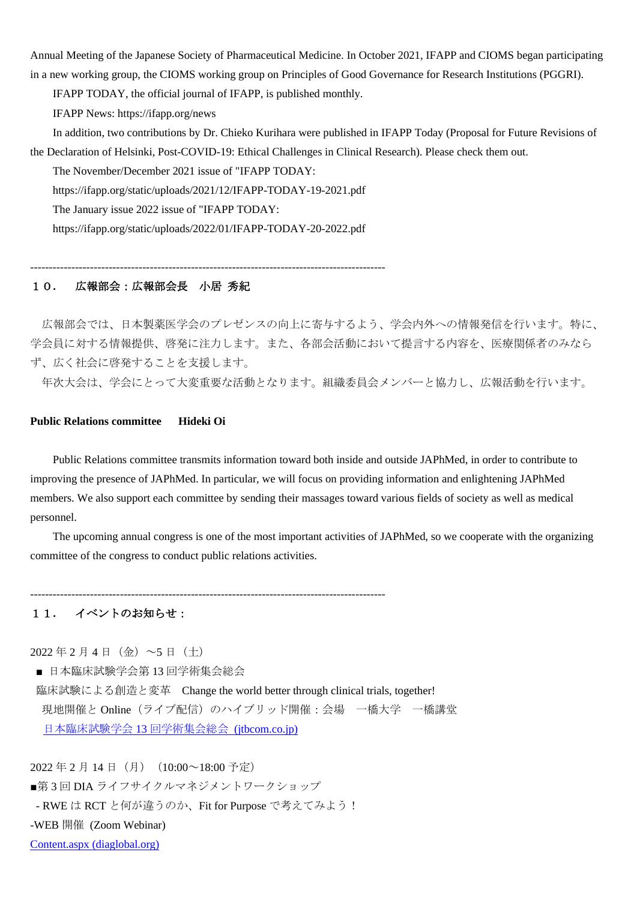Annual Meeting of the Japanese Society of Pharmaceutical Medicine. In October 2021, IFAPP and CIOMS began participating in a new working group, the CIOMS working group on Principles of Good Governance for Research Institutions (PGGRI).

IFAPP TODAY, the official journal of IFAPP, is published monthly.

IFAPP News: https://ifapp.org/news

In addition, two contributions by Dr. Chieko Kurihara were published in IFAPP Today (Proposal for Future Revisions of the Declaration of Helsinki, Post-COVID-19: Ethical Challenges in Clinical Research). Please check them out.

The November/December 2021 issue of "IFAPP TODAY:

https://ifapp.org/static/uploads/2021/12/IFAPP-TODAY-19-2021.pdf

The January issue 2022 issue of "IFAPP TODAY:

https://ifapp.org/static/uploads/2022/01/IFAPP-TODAY-20-2022.pdf

-----------------------------------------------------------------------------------------------

## 10**.** 広報部会:広報部会長 小居 秀紀

広報部会では、日本製薬医学会のプレゼンスの向上に寄与するよう、学会内外への情報発信を行います。特に、 学会員に対する情報提供、啓発に注力します。また、各部会活動において提言する内容を、医療関係者のみなら ず、広く社会に啓発することを支援します。

年次大会は、学会にとって大変重要な活動となります。組織委員会メンバーと協力し、広報活動を行います。

## **Public Relations committee Hideki Oi**

Public Relations committee transmits information toward both inside and outside JAPhMed, in order to contribute to improving the presence of JAPhMed. In particular, we will focus on providing information and enlightening JAPhMed members. We also support each committee by sending their massages toward various fields of society as well as medical personnel.

The upcoming annual congress is one of the most important activities of JAPhMed, so we cooperate with the organizing committee of the congress to conduct public relations activities.

-----------------------------------------------------------------------------------------------

## 11**.** イベントのお知らせ:

 $2022 \n \n \n \n 2 \n \n 4 \n \n 1 \n \n \n (A) \n \n ~\sim 5 \n \n 1 \n \n (C)$ 

■ 日本臨床試験学会第13回学術集会総会

臨床試験による創造と変革 Change the world better through clinical trials, together! 現地開催と Online (ライブ配信)のハイブリッド開催:会場 一橋大学 一橋講堂 [日本臨床試験学会](https://convention.jtbcom.co.jp/jsctr2022/) 13 回学術集会総会 [\(jtbcom.co.jp\)](https://convention.jtbcom.co.jp/jsctr2022/)

2022年2月14日(月) (10:00~18:00 予定) ■第3回 DIA ライフサイクルマネジメントワークショップ - RWE は RCT と何が違うのか、Fit for Purpose で考えてみよう! -WEB 開催 (Zoom Webinar) [Content.aspx \(diaglobal.org\)](https://www.diaglobal.org/Tools/Content.aspx?type=eopdf&file=%2fproductfiles%2f9791040%2f21316%2Epdf)